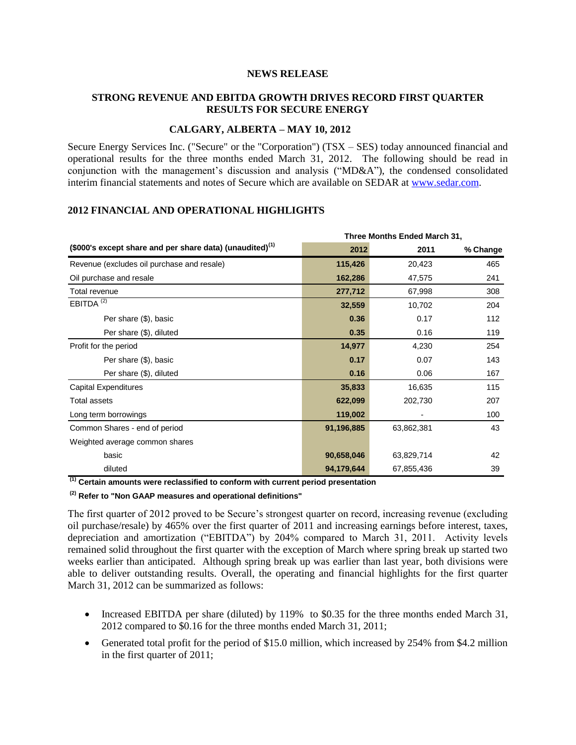#### **NEWS RELEASE**

# **STRONG REVENUE AND EBITDA GROWTH DRIVES RECORD FIRST QUARTER RESULTS FOR SECURE ENERGY**

### **CALGARY, ALBERTA – MAY 10, 2012**

Secure Energy Services Inc. ("Secure" or the "Corporation") (TSX – SES) today announced financial and operational results for the three months ended March 31, 2012. The following should be read in conjunction with the management's discussion and analysis ("MD&A"), the condensed consolidated interim financial statements and notes of Secure which are available on SEDAR at [www.sedar.com.](http://www.sedar.com/)

### **2012 FINANCIAL AND OPERATIONAL HIGHLIGHTS**

|                                                             | Three Months Ended March 31, |            |          |
|-------------------------------------------------------------|------------------------------|------------|----------|
| (\$000's except share and per share data) (unaudited) $(1)$ | 2012                         | 2011       | % Change |
| Revenue (excludes oil purchase and resale)                  | 115,426                      | 20,423     | 465      |
| Oil purchase and resale                                     | 162,286                      | 47,575     | 241      |
| Total revenue                                               | 277,712                      | 67,998     | 308      |
| EBITDA $(2)$                                                | 32,559                       | 10,702     | 204      |
| Per share (\$), basic                                       | 0.36                         | 0.17       | 112      |
| Per share (\$), diluted                                     | 0.35                         | 0.16       | 119      |
| Profit for the period                                       | 14,977                       | 4,230      | 254      |
| Per share (\$), basic                                       | 0.17                         | 0.07       | 143      |
| Per share (\$), diluted                                     | 0.16                         | 0.06       | 167      |
| <b>Capital Expenditures</b>                                 | 35,833                       | 16,635     | 115      |
| <b>Total assets</b>                                         | 622,099                      | 202,730    | 207      |
| Long term borrowings                                        | 119,002                      |            | 100      |
| Common Shares - end of period                               | 91,196,885                   | 63,862,381 | 43       |
| Weighted average common shares                              |                              |            |          |
| basic                                                       | 90,658,046                   | 63,829,714 | 42       |
| diluted                                                     | 94,179,644                   | 67,855,436 | 39       |

**(1) Certain amounts were reclassified to conform with current period presentation**

**(2) Refer to "Non GAAP measures and operational definitions"** 

The first quarter of 2012 proved to be Secure's strongest quarter on record, increasing revenue (excluding oil purchase/resale) by 465% over the first quarter of 2011 and increasing earnings before interest, taxes, depreciation and amortization ("EBITDA") by 204% compared to March 31, 2011. Activity levels remained solid throughout the first quarter with the exception of March where spring break up started two weeks earlier than anticipated. Although spring break up was earlier than last year, both divisions were able to deliver outstanding results. Overall, the operating and financial highlights for the first quarter March 31, 2012 can be summarized as follows:

- Increased EBITDA per share (diluted) by 119% to \$0.35 for the three months ended March 31, 2012 compared to \$0.16 for the three months ended March 31, 2011;
- Generated total profit for the period of \$15.0 million, which increased by 254% from \$4.2 million in the first quarter of 2011;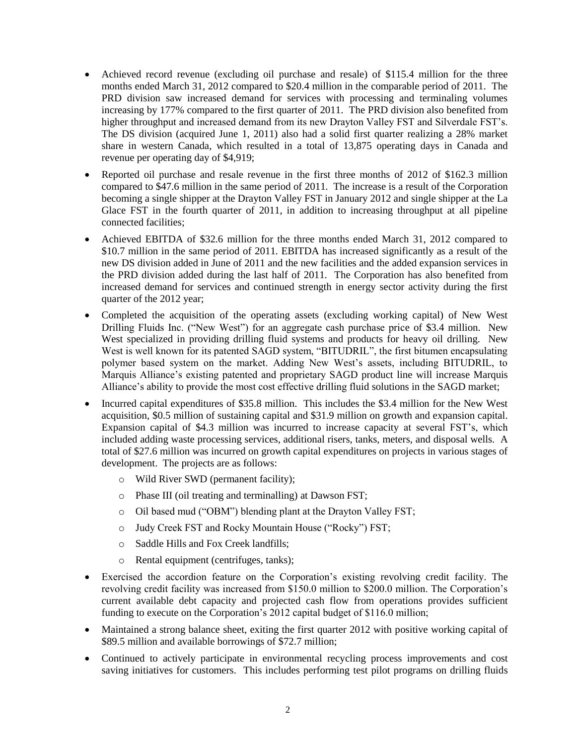- Achieved record revenue (excluding oil purchase and resale) of \$115.4 million for the three months ended March 31, 2012 compared to \$20.4 million in the comparable period of 2011. The PRD division saw increased demand for services with processing and terminaling volumes increasing by 177% compared to the first quarter of 2011. The PRD division also benefited from higher throughput and increased demand from its new Drayton Valley FST and Silverdale FST's. The DS division (acquired June 1, 2011) also had a solid first quarter realizing a 28% market share in western Canada, which resulted in a total of 13,875 operating days in Canada and revenue per operating day of \$4,919;
- Reported oil purchase and resale revenue in the first three months of 2012 of \$162.3 million compared to \$47.6 million in the same period of 2011. The increase is a result of the Corporation becoming a single shipper at the Drayton Valley FST in January 2012 and single shipper at the La Glace FST in the fourth quarter of 2011, in addition to increasing throughput at all pipeline connected facilities;
- Achieved EBITDA of \$32.6 million for the three months ended March 31, 2012 compared to \$10.7 million in the same period of 2011. EBITDA has increased significantly as a result of the new DS division added in June of 2011 and the new facilities and the added expansion services in the PRD division added during the last half of 2011. The Corporation has also benefited from increased demand for services and continued strength in energy sector activity during the first quarter of the 2012 year;
- Completed the acquisition of the operating assets (excluding working capital) of New West Drilling Fluids Inc. ("New West") for an aggregate cash purchase price of \$3.4 million. New West specialized in providing drilling fluid systems and products for heavy oil drilling. New West is well known for its patented SAGD system, "BITUDRIL", the first bitumen encapsulating polymer based system on the market. Adding New West's assets, including BITUDRIL, to Marquis Alliance's existing patented and proprietary SAGD product line will increase Marquis Alliance's ability to provide the most cost effective drilling fluid solutions in the SAGD market;
- Incurred capital expenditures of \$35.8 million. This includes the \$3.4 million for the New West acquisition, \$0.5 million of sustaining capital and \$31.9 million on growth and expansion capital. Expansion capital of \$4.3 million was incurred to increase capacity at several FST's, which included adding waste processing services, additional risers, tanks, meters, and disposal wells. A total of \$27.6 million was incurred on growth capital expenditures on projects in various stages of development. The projects are as follows:
	- o Wild River SWD (permanent facility);
	- o Phase III (oil treating and terminalling) at Dawson FST;
	- o Oil based mud ("OBM") blending plant at the Drayton Valley FST;
	- o Judy Creek FST and Rocky Mountain House ("Rocky") FST;
	- o Saddle Hills and Fox Creek landfills;
	- o Rental equipment (centrifuges, tanks);
- Exercised the accordion feature on the Corporation's existing revolving credit facility. The revolving credit facility was increased from \$150.0 million to \$200.0 million. The Corporation's current available debt capacity and projected cash flow from operations provides sufficient funding to execute on the Corporation's 2012 capital budget of \$116.0 million;
- Maintained a strong balance sheet, exiting the first quarter 2012 with positive working capital of \$89.5 million and available borrowings of \$72.7 million;
- Continued to actively participate in environmental recycling process improvements and cost saving initiatives for customers. This includes performing test pilot programs on drilling fluids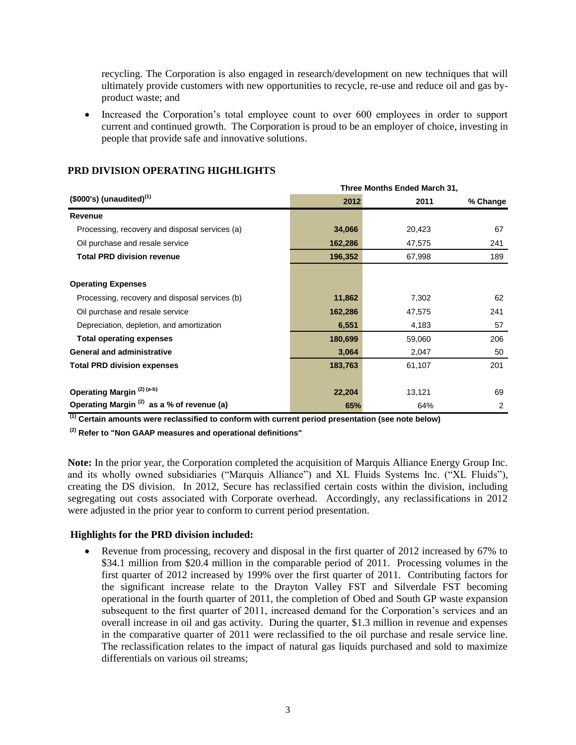recycling. The Corporation is also engaged in research/development on new techniques that will ultimately provide customers with new opportunities to recycle, re-use and reduce oil and gas byproduct waste; and

• Increased the Corporation's total employee count to over 600 employees in order to support current and continued growth. The Corporation is proud to be an employer of choice, investing in people that provide safe and innovative solutions.

| $($000's)$ (unaudited) <sup>(1)</sup>                 |         | Three Months Ended March 31, |          |  |  |
|-------------------------------------------------------|---------|------------------------------|----------|--|--|
|                                                       | 2012    | 2011                         | % Change |  |  |
| Revenue                                               |         |                              |          |  |  |
| Processing, recovery and disposal services (a)        | 34,066  | 20,423                       | 67       |  |  |
| Oil purchase and resale service                       | 162,286 | 47,575                       | 241      |  |  |
| <b>Total PRD division revenue</b>                     | 196,352 | 67,998                       | 189      |  |  |
| <b>Operating Expenses</b>                             |         |                              |          |  |  |
| Processing, recovery and disposal services (b)        | 11,862  | 7,302                        | 62       |  |  |
| Oil purchase and resale service                       | 162,286 | 47,575                       | 241      |  |  |
| Depreciation, depletion, and amortization             | 6,551   | 4,183                        | 57       |  |  |
| <b>Total operating expenses</b>                       | 180,699 | 59,060                       | 206      |  |  |
| <b>General and administrative</b>                     | 3,064   | 2,047                        | 50       |  |  |
| <b>Total PRD division expenses</b>                    | 183,763 | 61,107                       | 201      |  |  |
| Operating Margin <sup>(2)(a-b)</sup>                  | 22,204  | 13,121                       | 69       |  |  |
| Operating Margin <sup>(2)</sup> as a % of revenue (a) | 65%     | 64%                          | 2        |  |  |

# **PRD DIVISION OPERATING HIGHLIGHTS**

**(1) Certain amounts were reclassified to conform with current period presentation (see note below)**

**(2) Refer to "Non GAAP measures and operational definitions"**

**Note:** In the prior year, the Corporation completed the acquisition of Marquis Alliance Energy Group Inc. and its wholly owned subsidiaries ("Marquis Alliance") and XL Fluids Systems Inc. ("XL Fluids"), creating the DS division. In 2012, Secure has reclassified certain costs within the division, including segregating out costs associated with Corporate overhead. Accordingly, any reclassifications in 2012 were adjusted in the prior year to conform to current period presentation.

# **Highlights for the PRD division included:**

 Revenue from processing, recovery and disposal in the first quarter of 2012 increased by 67% to \$34.1 million from \$20.4 million in the comparable period of 2011. Processing volumes in the first quarter of 2012 increased by 199% over the first quarter of 2011. Contributing factors for the significant increase relate to the Drayton Valley FST and Silverdale FST becoming operational in the fourth quarter of 2011, the completion of Obed and South GP waste expansion subsequent to the first quarter of 2011, increased demand for the Corporation's services and an overall increase in oil and gas activity. During the quarter, \$1.3 million in revenue and expenses in the comparative quarter of 2011 were reclassified to the oil purchase and resale service line. The reclassification relates to the impact of natural gas liquids purchased and sold to maximize differentials on various oil streams;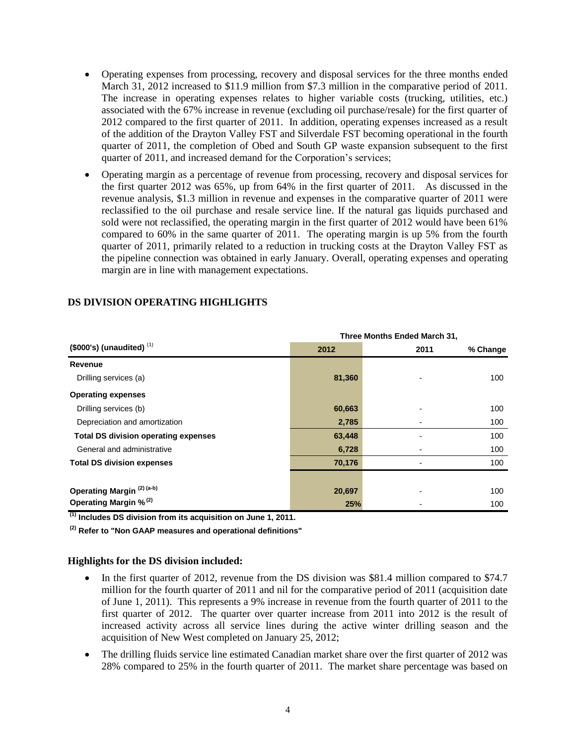- Operating expenses from processing, recovery and disposal services for the three months ended March 31, 2012 increased to \$11.9 million from \$7.3 million in the comparative period of 2011. The increase in operating expenses relates to higher variable costs (trucking, utilities, etc.) associated with the 67% increase in revenue (excluding oil purchase/resale) for the first quarter of 2012 compared to the first quarter of 2011. In addition, operating expenses increased as a result of the addition of the Drayton Valley FST and Silverdale FST becoming operational in the fourth quarter of 2011, the completion of Obed and South GP waste expansion subsequent to the first quarter of 2011, and increased demand for the Corporation's services;
- Operating margin as a percentage of revenue from processing, recovery and disposal services for the first quarter 2012 was 65%, up from 64% in the first quarter of 2011. As discussed in the revenue analysis, \$1.3 million in revenue and expenses in the comparative quarter of 2011 were reclassified to the oil purchase and resale service line. If the natural gas liquids purchased and sold were not reclassified, the operating margin in the first quarter of 2012 would have been 61% compared to 60% in the same quarter of 2011. The operating margin is up 5% from the fourth quarter of 2011, primarily related to a reduction in trucking costs at the Drayton Valley FST as the pipeline connection was obtained in early January. Overall, operating expenses and operating margin are in line with management expectations.

| $($ \$000's) (unaudited) $(1)$              |        | Three Months Ended March 31, |          |  |
|---------------------------------------------|--------|------------------------------|----------|--|
|                                             | 2012   | 2011                         | % Change |  |
| Revenue                                     |        |                              |          |  |
| Drilling services (a)                       | 81,360 |                              | 100      |  |
| <b>Operating expenses</b>                   |        |                              |          |  |
| Drilling services (b)                       | 60,663 |                              | 100      |  |
| Depreciation and amortization               | 2,785  |                              | 100      |  |
| <b>Total DS division operating expenses</b> | 63,448 |                              | 100      |  |
| General and administrative                  | 6,728  |                              | 100      |  |
| <b>Total DS division expenses</b>           | 70,176 |                              | 100      |  |
|                                             |        |                              |          |  |
| Operating Margin <sup>(2)(a-b)</sup>        | 20,697 |                              | 100      |  |
| Operating Margin % <sup>(2)</sup>           | 25%    |                              | 100      |  |

# **DS DIVISION OPERATING HIGHLIGHTS**

**(1) Includes DS division from its acquisition on June 1, 2011.**

**(2) Refer to "Non GAAP measures and operational definitions"**

#### **Highlights for the DS division included:**

- In the first quarter of 2012, revenue from the DS division was \$81.4 million compared to \$74.7 million for the fourth quarter of 2011 and nil for the comparative period of 2011 (acquisition date of June 1, 2011). This represents a 9% increase in revenue from the fourth quarter of 2011 to the first quarter of 2012. The quarter over quarter increase from 2011 into 2012 is the result of increased activity across all service lines during the active winter drilling season and the acquisition of New West completed on January 25, 2012;
- The drilling fluids service line estimated Canadian market share over the first quarter of 2012 was 28% compared to 25% in the fourth quarter of 2011. The market share percentage was based on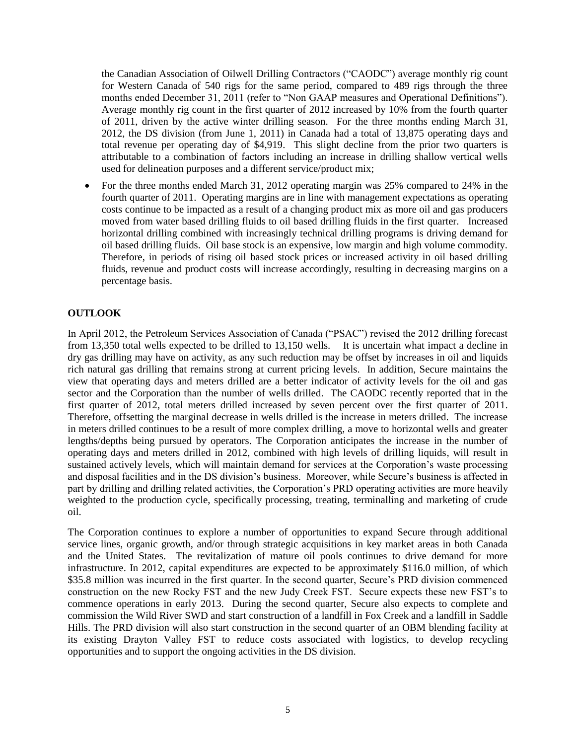the Canadian Association of Oilwell Drilling Contractors ("CAODC") average monthly rig count for Western Canada of 540 rigs for the same period, compared to 489 rigs through the three months ended December 31, 2011 (refer to "Non GAAP measures and Operational Definitions"). Average monthly rig count in the first quarter of 2012 increased by 10% from the fourth quarter of 2011, driven by the active winter drilling season. For the three months ending March 31, 2012, the DS division (from June 1, 2011) in Canada had a total of 13,875 operating days and total revenue per operating day of \$4,919. This slight decline from the prior two quarters is attributable to a combination of factors including an increase in drilling shallow vertical wells used for delineation purposes and a different service/product mix;

• For the three months ended March 31, 2012 operating margin was 25% compared to 24% in the fourth quarter of 2011. Operating margins are in line with management expectations as operating costs continue to be impacted as a result of a changing product mix as more oil and gas producers moved from water based drilling fluids to oil based drilling fluids in the first quarter. Increased horizontal drilling combined with increasingly technical drilling programs is driving demand for oil based drilling fluids. Oil base stock is an expensive, low margin and high volume commodity. Therefore, in periods of rising oil based stock prices or increased activity in oil based drilling fluids, revenue and product costs will increase accordingly, resulting in decreasing margins on a percentage basis.

# **OUTLOOK**

In April 2012, the Petroleum Services Association of Canada ("PSAC") revised the 2012 drilling forecast from 13,350 total wells expected to be drilled to 13,150 wells. It is uncertain what impact a decline in dry gas drilling may have on activity, as any such reduction may be offset by increases in oil and liquids rich natural gas drilling that remains strong at current pricing levels. In addition, Secure maintains the view that operating days and meters drilled are a better indicator of activity levels for the oil and gas sector and the Corporation than the number of wells drilled. The CAODC recently reported that in the first quarter of 2012, total meters drilled increased by seven percent over the first quarter of 2011. Therefore, offsetting the marginal decrease in wells drilled is the increase in meters drilled. The increase in meters drilled continues to be a result of more complex drilling, a move to horizontal wells and greater lengths/depths being pursued by operators. The Corporation anticipates the increase in the number of operating days and meters drilled in 2012, combined with high levels of drilling liquids, will result in sustained actively levels, which will maintain demand for services at the Corporation's waste processing and disposal facilities and in the DS division's business. Moreover, while Secure's business is affected in part by drilling and drilling related activities, the Corporation's PRD operating activities are more heavily weighted to the production cycle, specifically processing, treating, terminalling and marketing of crude oil.

The Corporation continues to explore a number of opportunities to expand Secure through additional service lines, organic growth, and/or through strategic acquisitions in key market areas in both Canada and the United States. The revitalization of mature oil pools continues to drive demand for more infrastructure. In 2012, capital expenditures are expected to be approximately \$116.0 million, of which \$35.8 million was incurred in the first quarter. In the second quarter, Secure's PRD division commenced construction on the new Rocky FST and the new Judy Creek FST. Secure expects these new FST's to commence operations in early 2013. During the second quarter, Secure also expects to complete and commission the Wild River SWD and start construction of a landfill in Fox Creek and a landfill in Saddle Hills. The PRD division will also start construction in the second quarter of an OBM blending facility at its existing Drayton Valley FST to reduce costs associated with logistics, to develop recycling opportunities and to support the ongoing activities in the DS division.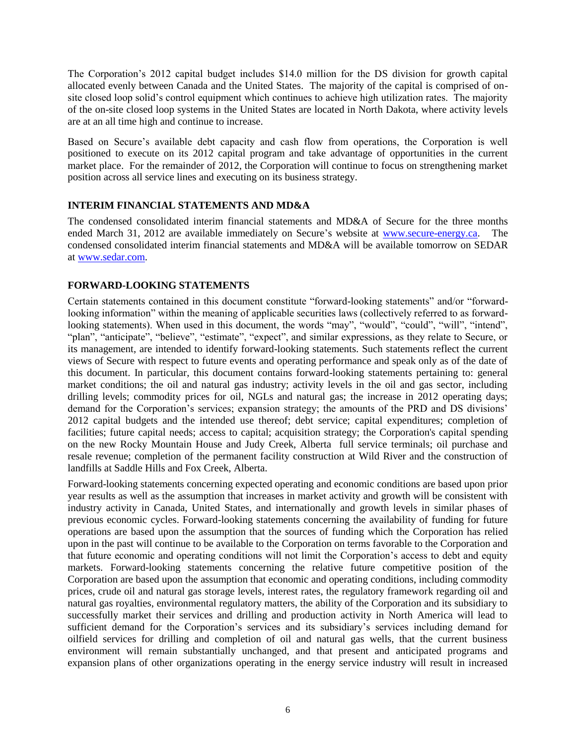The Corporation's 2012 capital budget includes \$14.0 million for the DS division for growth capital allocated evenly between Canada and the United States. The majority of the capital is comprised of onsite closed loop solid's control equipment which continues to achieve high utilization rates. The majority of the on-site closed loop systems in the United States are located in North Dakota, where activity levels are at an all time high and continue to increase.

Based on Secure's available debt capacity and cash flow from operations, the Corporation is well positioned to execute on its 2012 capital program and take advantage of opportunities in the current market place. For the remainder of 2012, the Corporation will continue to focus on strengthening market position across all service lines and executing on its business strategy.

# **INTERIM FINANCIAL STATEMENTS AND MD&A**

The condensed consolidated interim financial statements and MD&A of Secure for the three months ended March 31, 2012 are available immediately on Secure's website at [www.secure-energy.ca.](http://www.secure-energy.ca/) The condensed consolidated interim financial statements and MD&A will be available tomorrow on SEDAR at [www.sedar.com.](http://www.sedar.com/)

# **FORWARD-LOOKING STATEMENTS**

Certain statements contained in this document constitute "forward-looking statements" and/or "forwardlooking information" within the meaning of applicable securities laws (collectively referred to as forwardlooking statements). When used in this document, the words "may", "would", "could", "will", "intend", "plan", "anticipate", "believe", "estimate", "expect", and similar expressions, as they relate to Secure, or its management, are intended to identify forward-looking statements. Such statements reflect the current views of Secure with respect to future events and operating performance and speak only as of the date of this document. In particular, this document contains forward-looking statements pertaining to: general market conditions; the oil and natural gas industry; activity levels in the oil and gas sector, including drilling levels; commodity prices for oil, NGLs and natural gas; the increase in 2012 operating days; demand for the Corporation's services; expansion strategy; the amounts of the PRD and DS divisions' 2012 capital budgets and the intended use thereof; debt service; capital expenditures; completion of facilities; future capital needs; access to capital; acquisition strategy; the Corporation's capital spending on the new Rocky Mountain House and Judy Creek, Alberta full service terminals; oil purchase and resale revenue; completion of the permanent facility construction at Wild River and the construction of landfills at Saddle Hills and Fox Creek, Alberta.

Forward-looking statements concerning expected operating and economic conditions are based upon prior year results as well as the assumption that increases in market activity and growth will be consistent with industry activity in Canada, United States, and internationally and growth levels in similar phases of previous economic cycles. Forward-looking statements concerning the availability of funding for future operations are based upon the assumption that the sources of funding which the Corporation has relied upon in the past will continue to be available to the Corporation on terms favorable to the Corporation and that future economic and operating conditions will not limit the Corporation's access to debt and equity markets. Forward-looking statements concerning the relative future competitive position of the Corporation are based upon the assumption that economic and operating conditions, including commodity prices, crude oil and natural gas storage levels, interest rates, the regulatory framework regarding oil and natural gas royalties, environmental regulatory matters, the ability of the Corporation and its subsidiary to successfully market their services and drilling and production activity in North America will lead to sufficient demand for the Corporation's services and its subsidiary's services including demand for oilfield services for drilling and completion of oil and natural gas wells, that the current business environment will remain substantially unchanged, and that present and anticipated programs and expansion plans of other organizations operating in the energy service industry will result in increased